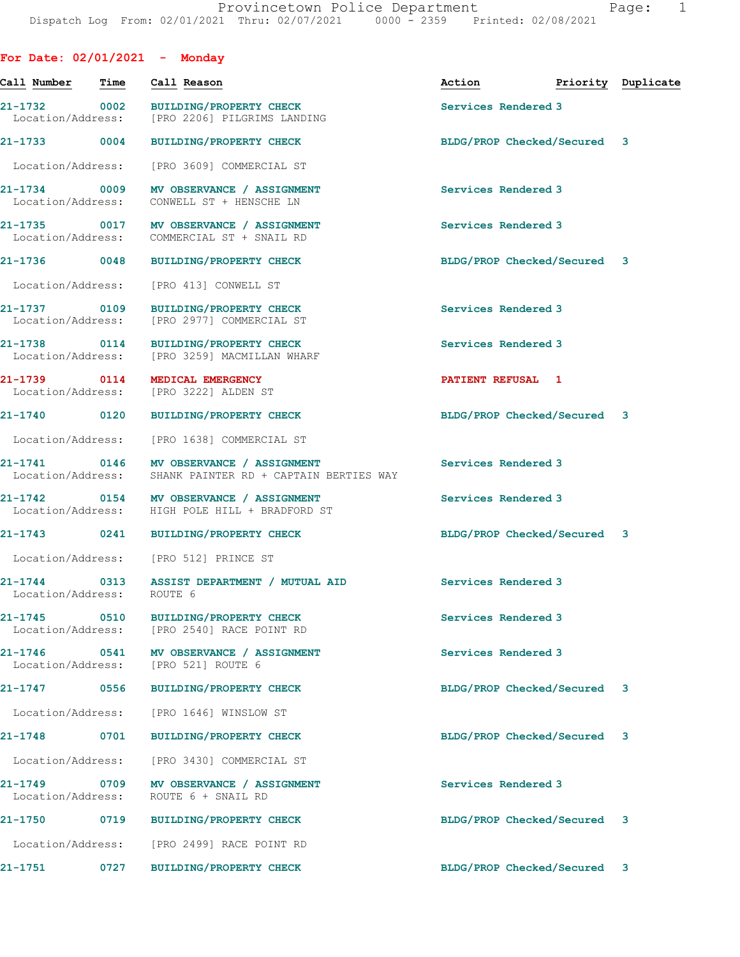| For Date: $02/01/2021$ - Monday          |      |                                                                                           |                             |                    |
|------------------------------------------|------|-------------------------------------------------------------------------------------------|-----------------------------|--------------------|
| Call Number                              | Time | Call Reason                                                                               | Action                      | Priority Duplicate |
|                                          |      | 21-1732 0002 BUILDING/PROPERTY CHECK<br>Location/Address: [PRO 2206] PILGRIMS LANDING     | Services Rendered 3         |                    |
| 21-1733 0004                             |      | BUILDING/PROPERTY CHECK                                                                   | BLDG/PROP Checked/Secured 3 |                    |
| Location/Address:                        |      | [PRO 3609] COMMERCIAL ST                                                                  |                             |                    |
| 21-1734 0009<br>Location/Address:        |      | MV OBSERVANCE / ASSIGNMENT<br>CONWELL ST + HENSCHE LN                                     | Services Rendered 3         |                    |
| 21-1735 0017                             |      | MV OBSERVANCE / ASSIGNMENT<br>Location/Address: COMMERCIAL ST + SNAIL RD                  | Services Rendered 3         |                    |
| 21-1736 0048                             |      | <b>BUILDING/PROPERTY CHECK</b>                                                            | BLDG/PROP Checked/Secured 3 |                    |
| Location/Address:                        |      | [PRO 413] CONWELL ST                                                                      |                             |                    |
| 21-1737 0109<br>Location/Address:        |      | <b>BUILDING/PROPERTY CHECK</b><br>[PRO 2977] COMMERCIAL ST                                | Services Rendered 3         |                    |
|                                          |      | 21-1738 0114 BUILDING/PROPERTY CHECK<br>Location/Address: [PRO 3259] MACMILLAN WHARF      | Services Rendered 3         |                    |
| 21-1739 0114<br>Location/Address:        |      | MEDICAL EMERGENCY<br>[PRO 3222] ALDEN ST                                                  | PATIENT REFUSAL 1           |                    |
| 21-1740 0120                             |      | BUILDING/PROPERTY CHECK                                                                   | BLDG/PROP Checked/Secured 3 |                    |
|                                          |      | Location/Address: [PRO 1638] COMMERCIAL ST                                                |                             |                    |
| 21-1741 0146                             |      | MV OBSERVANCE / ASSIGNMENT<br>Location/Address: SHANK PAINTER RD + CAPTAIN BERTIES WAY    | Services Rendered 3         |                    |
|                                          |      | 21-1742 0154 MV OBSERVANCE / ASSIGNMENT<br>Location/Address: HIGH POLE HILL + BRADFORD ST | Services Rendered 3         |                    |
|                                          |      | 21-1743 0241 BUILDING/PROPERTY CHECK                                                      | BLDG/PROP Checked/Secured 3 |                    |
|                                          |      | Location/Address: [PRO 512] PRINCE ST                                                     |                             |                    |
| $21 - 1744$<br>Location/Address: ROUTE 6 |      | 0313 ASSIST DEPARTMENT / MUTUAL AID                                                       | Services Rendered 3         |                    |
| $21 - 1745$                              | 0510 | BUILDING/PROPERTY CHECK<br>Location/Address: [PRO 2540] RACE POINT RD                     | Services Rendered 3         |                    |
| 21-1746                                  |      | 0541 MV OBSERVANCE / ASSIGNMENT<br>Location/Address: [PRO 521] ROUTE 6                    | Services Rendered 3         |                    |
| 21-1747 0556                             |      | <b>BUILDING/PROPERTY CHECK</b>                                                            | BLDG/PROP Checked/Secured 3 |                    |
| Location/Address:                        |      | [PRO 1646] WINSLOW ST                                                                     |                             |                    |
| 21-1748                                  | 0701 | <b>BUILDING/PROPERTY CHECK</b>                                                            | BLDG/PROP Checked/Secured 3 |                    |
| Location/Address:                        |      | [PRO 3430] COMMERCIAL ST                                                                  |                             |                    |
| $21 - 1749$                              | 0709 | MV OBSERVANCE / ASSIGNMENT<br>Location/Address: ROUTE 6 + SNAIL RD                        | Services Rendered 3         |                    |
| 21-1750                                  |      | 0719 BUILDING/PROPERTY CHECK                                                              | BLDG/PROP Checked/Secured   | 3                  |
| Location/Address:                        |      | [PRO 2499] RACE POINT RD                                                                  |                             |                    |
| 21-1751                                  | 0727 | <b>BUILDING/PROPERTY CHECK</b>                                                            | BLDG/PROP Checked/Secured 3 |                    |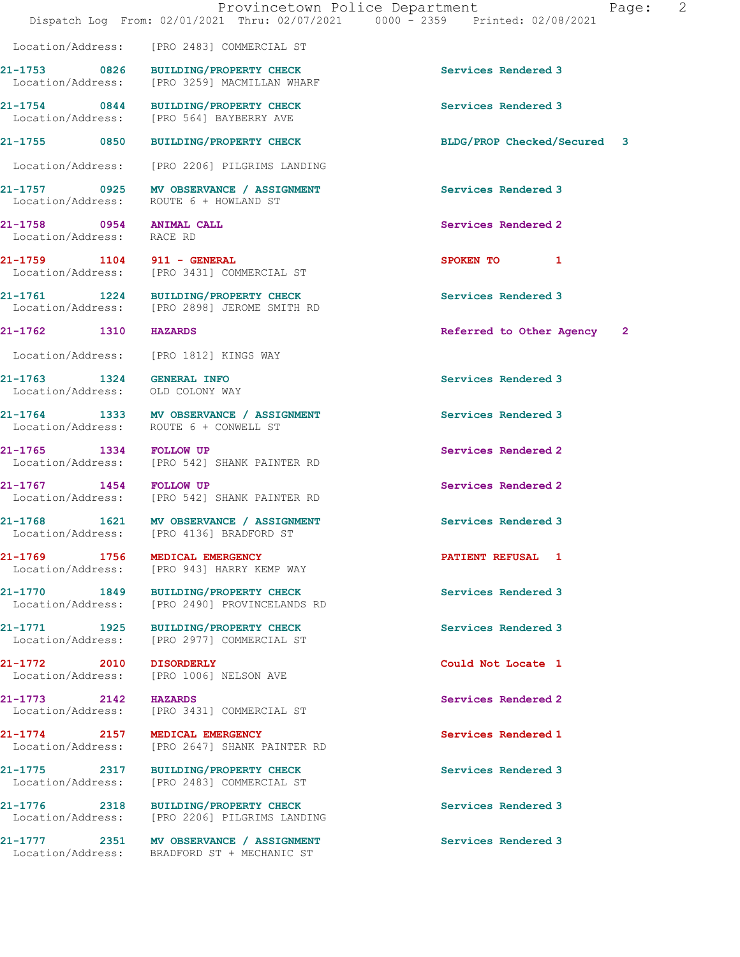Location/Address: [PRO 2483] COMMERCIAL ST

**21-1753 0826 BUILDING/PROPERTY CHECK Services Rendered 3**  Location/Address: [PRO 3259] MACMILLAN WHARF

**21-1754** 0844 BUILDING/PROPERTY CHECK Services Rendered 3<br>
Location/Address: [PRO 564] BAYBERRY AVE [PRO 564] BAYBERRY AVE

**21-1755 0850 BUILDING/PROPERTY CHECK BLDG/PROP Checked/Secured 3**

Location/Address: [PRO 2206] PILGRIMS LANDING

**21-1757 0925 MV OBSERVANCE / ASSIGNMENT Services Rendered 3**  Location/Address: ROUTE 6 + HOWLAND ST

Location/Address: RACE RD

**21-1761 1224 BUILDING/PROPERTY CHECK Services Rendered 3**  Location/Address: [PRO 2898] JEROME SMITH RD

Location/Address: [PRO 1812] KINGS WAY

Location/Address: OLD COLONY WAY

**21-1772 2010 DISORDERLY Could Not Locate 1** 

**21-1759 1104 911 - GENERAL SPOKEN TO 1**  [PRO 3431] COMMERCIAL ST

**21-1764 1333 MV OBSERVANCE / ASSIGNMENT Services Rendered 3**  Location/Address: ROUTE 6 + CONWELL ST

**21-1765 1334 FOLLOW UP Services Rendered 2**  Location/Address: [PRO 542] SHANK PAINTER RD

**21-1767 1454 FOLLOW UP 1454 FOLLOW UP Services Rendered 2 ICCOLLOW UP Services Rendered 2** [PRO 542] SHANK PAINTER RD

**21-1768 1621 MV OBSERVANCE / ASSIGNMENT Services Rendered 3**  Location/Address: [PRO 4136] BRADFORD ST

**21-1769 1756 MEDICAL EMERGENCY PATIENT REFUSAL 1**  Location/Address: [PRO 943] HARRY KEMP WAY

**21-1770 1849 BUILDING/PROPERTY CHECK Services Rendered 3**  Location/Address: [PRO 2490] PROVINCELANDS RD

**21-1771 1925 BUILDING/PROPERTY CHECK Services Rendered 3**  Location/Address: [PRO 2977] COMMERCIAL ST

[PRO 1006] NELSON AVE

**21-1773 2142 HAZARDS Services Rendered 2**  [PRO 3431] COMMERCIAL ST

**21-1774 2157 MEDICAL EMERGENCY Services Rendered 1**  Location/Address: [PRO 2647] SHANK PAINTER RD

**21-1775 2317 BUILDING/PROPERTY CHECK Services Rendered 3**  Location/Address: [PRO 2483] COMMERCIAL ST

**21-1776 2318 BUILDING/PROPERTY CHECK Services Rendered 3**  Location/Address: [PRO 2206] PILGRIMS LANDING

21-1777 2351 MV OBSERVANCE / ASSIGNMENT Services Rendered 3 Location/Address: BRADFORD ST + MECHANIC ST

**21-1758 0954 ANIMAL CALL Services Rendered 2** 

**21-1762 1310 HAZARDS Referred to Other Agency 2**

**21-1763 1324 GENERAL INFO Services Rendered 3**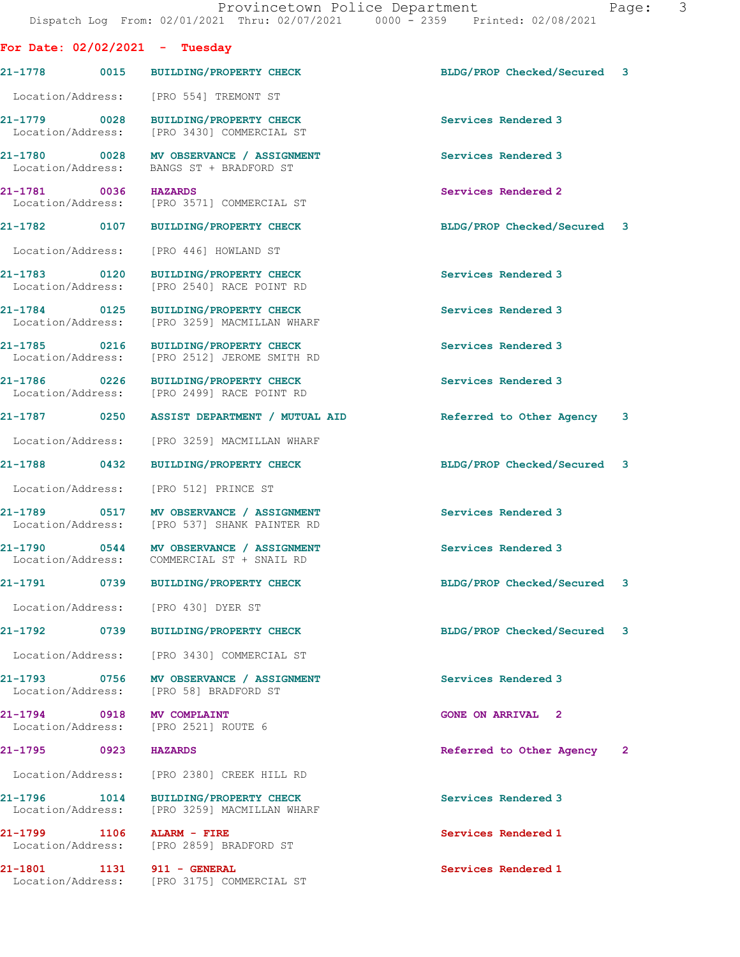| For Date: $02/02/2021$ - Tuesday  |      |                                                                                         |                             |  |
|-----------------------------------|------|-----------------------------------------------------------------------------------------|-----------------------------|--|
|                                   |      | 21-1778 0015 BUILDING/PROPERTY CHECK                                                    | BLDG/PROP Checked/Secured 3 |  |
|                                   |      | Location/Address: [PRO 554] TREMONT ST                                                  |                             |  |
| 21-1779 0028                      |      | BUILDING/PROPERTY CHECK<br>Location/Address: [PRO 3430] COMMERCIAL ST                   | Services Rendered 3         |  |
|                                   |      | 21-1780 0028 MV OBSERVANCE / ASSIGNMENT<br>Location/Address: BANGS ST + BRADFORD ST     | Services Rendered 3         |  |
| 21-1781 0036 HAZARDS              |      | Location/Address: [PRO 3571] COMMERCIAL ST                                              | Services Rendered 2         |  |
|                                   |      | 21-1782 0107 BUILDING/PROPERTY CHECK                                                    | BLDG/PROP Checked/Secured 3 |  |
| Location/Address:                 |      | [PRO 446] HOWLAND ST                                                                    |                             |  |
| 21-1783 0120<br>Location/Address: |      | BUILDING/PROPERTY CHECK<br>[PRO 2540] RACE POINT RD                                     | Services Rendered 3         |  |
| 21-1784 0125                      |      | <b>BUILDING/PROPERTY CHECK</b><br>Location/Address: [PRO 3259] MACMILLAN WHARF          | Services Rendered 3         |  |
|                                   |      | 21-1785 0216 BUILDING/PROPERTY CHECK<br>Location/Address: [PRO 2512] JEROME SMITH RD    | Services Rendered 3         |  |
| 21-1786 0226                      |      | BUILDING/PROPERTY CHECK<br>Location/Address: [PRO 2499] RACE POINT RD                   | Services Rendered 3         |  |
|                                   |      |                                                                                         | Referred to Other Agency 3  |  |
| Location/Address:                 |      | [PRO 3259] MACMILLAN WHARF                                                              |                             |  |
|                                   |      | 21-1788 0432 BUILDING/PROPERTY CHECK                                                    | BLDG/PROP Checked/Secured 3 |  |
|                                   |      | Location/Address: [PRO 512] PRINCE ST                                                   |                             |  |
|                                   |      | 21-1789 0517 MV OBSERVANCE / ASSIGNMENT<br>Location/Address: [PRO 537] SHANK PAINTER RD | Services Rendered 3         |  |
|                                   |      | 21-1790 0544 MV OBSERVANCE / ASSIGNMENT<br>Location/Address: COMMERCIAL ST + SNAIL RD   | Services Rendered 3         |  |
|                                   |      | 21-1791 0739 BUILDING/PROPERTY CHECK                                                    | BLDG/PROP Checked/Secured 3 |  |
|                                   |      | Location/Address: [PRO 430] DYER ST                                                     |                             |  |
|                                   |      | 21-1792 0739 BUILDING/PROPERTY CHECK                                                    | BLDG/PROP Checked/Secured 3 |  |
|                                   |      | Location/Address: [PRO 3430] COMMERCIAL ST                                              |                             |  |
|                                   |      | 21-1793 0756 MV OBSERVANCE / ASSIGNMENT<br>Location/Address: [PRO 58] BRADFORD ST       | Services Rendered 3         |  |
| 21-1794 0918 MV COMPLAINT         |      | Location/Address: [PRO 2521] ROUTE 6                                                    | <b>GONE ON ARRIVAL 2</b>    |  |
| 21-1795 0923                      |      | <b>HAZARDS</b>                                                                          | Referred to Other Agency 2  |  |
|                                   |      | Location/Address: [PRO 2380] CREEK HILL RD                                              |                             |  |
| 21-1796<br>Location/Address:      | 1014 | <b>BUILDING/PROPERTY CHECK</b><br>[PRO 3259] MACMILLAN WHARF                            | Services Rendered 3         |  |
| 21-1799 1106 ALARM - FIRE         |      | Location/Address: [PRO 2859] BRADFORD ST                                                | Services Rendered 1         |  |
| 21-1801                           |      | 1131 911 - GENERAL<br>Location/Address: [PRO 3175] COMMERCIAL ST                        | Services Rendered 1         |  |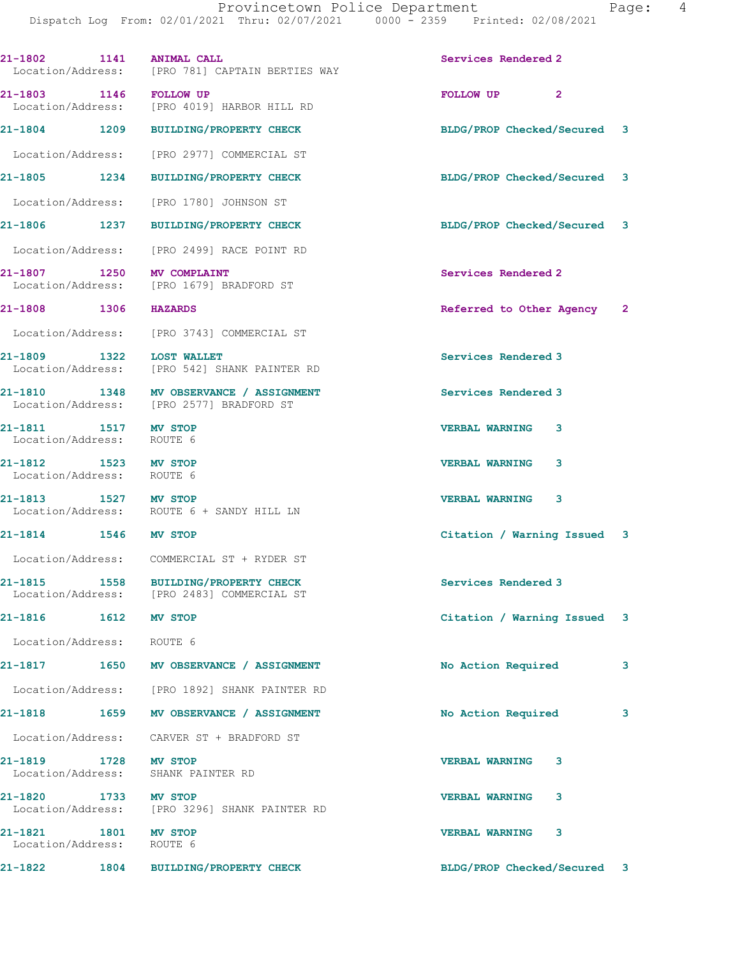| 21-1802 1141 ANIMAL CALL                          |      | Location/Address: [PRO 781] CAPTAIN BERTIES WAY                                     | Services Rendered 2         |   |
|---------------------------------------------------|------|-------------------------------------------------------------------------------------|-----------------------------|---|
| 21-1803 1146 FOLLOW UP                            |      | Location/Address: [PRO 4019] HARBOR HILL RD                                         | FOLLOW UP <sub>2</sub>      |   |
|                                                   |      | 21-1804 1209 BUILDING/PROPERTY CHECK                                                | BLDG/PROP Checked/Secured 3 |   |
|                                                   |      | Location/Address: [PRO 2977] COMMERCIAL ST                                          |                             |   |
| 21-1805 1234                                      |      | BUILDING/PROPERTY CHECK                                                             | BLDG/PROP Checked/Secured 3 |   |
|                                                   |      | Location/Address: [PRO 1780] JOHNSON ST                                             |                             |   |
|                                                   |      | 21-1806 1237 BUILDING/PROPERTY CHECK                                                | BLDG/PROP Checked/Secured 3 |   |
|                                                   |      | Location/Address: [PRO 2499] RACE POINT RD                                          |                             |   |
| 21-1807 1250 MV COMPLAINT                         |      | Location/Address: [PRO 1679] BRADFORD ST                                            | Services Rendered 2         |   |
| 21-1808 1306 HAZARDS                              |      |                                                                                     | Referred to Other Agency 2  |   |
|                                                   |      | Location/Address: [PRO 3743] COMMERCIAL ST                                          |                             |   |
| 21-1809 1322 LOST WALLET                          |      | Location/Address: [PRO 542] SHANK PAINTER RD                                        | Services Rendered 3         |   |
|                                                   |      | 21-1810 1348 MV OBSERVANCE / ASSIGNMENT<br>Location/Address: [PRO 2577] BRADFORD ST | Services Rendered 3         |   |
| 21-1811 1517 MV STOP<br>Location/Address: ROUTE 6 |      |                                                                                     | <b>VERBAL WARNING 3</b>     |   |
| 21-1812 1523 MV STOP<br>Location/Address: ROUTE 6 |      |                                                                                     | <b>VERBAL WARNING</b><br>3  |   |
| 21-1813 1527 MV STOP                              |      | Location/Address: ROUTE 6 + SANDY HILL LN                                           | <b>VERBAL WARNING 3</b>     |   |
| 21-1814 1546 MV STOP                              |      |                                                                                     | Citation / Warning Issued 3 |   |
|                                                   |      | Location/Address: COMMERCIAL ST + RYDER ST                                          |                             |   |
|                                                   |      | 21-1815 1558 BUILDING/PROPERTY CHECK<br>Location/Address: [PRO 2483] COMMERCIAL ST  | Services Rendered 3         |   |
| 21-1816 1612 MV STOP                              |      |                                                                                     | Citation / Warning Issued 3 |   |
| Location/Address: ROUTE 6                         |      |                                                                                     |                             |   |
|                                                   |      | 21-1817 1650 MV OBSERVANCE / ASSIGNMENT                                             | No Action Required          | 3 |
|                                                   |      | Location/Address: [PRO 1892] SHANK PAINTER RD                                       |                             |   |
| 21-1818                                           | 1659 | MV OBSERVANCE / ASSIGNMENT                                                          | No Action Required          | 3 |
|                                                   |      | Location/Address: CARVER ST + BRADFORD ST                                           |                             |   |
| 21-1819 1728 MV STOP                              |      | Location/Address: SHANK PAINTER RD                                                  | <b>VERBAL WARNING</b><br>3  |   |
| 21-1820<br>Location/Address:                      |      | 1733 MV STOP<br>[PRO 3296] SHANK PAINTER RD                                         | <b>VERBAL WARNING</b><br>3  |   |
| 21-1821 1801<br>Location/Address:                 |      | MV STOP<br>ROUTE 6                                                                  | <b>VERBAL WARNING</b><br>3  |   |
| 21-1822                                           |      | 1804 BUILDING/PROPERTY CHECK                                                        | BLDG/PROP Checked/Secured 3 |   |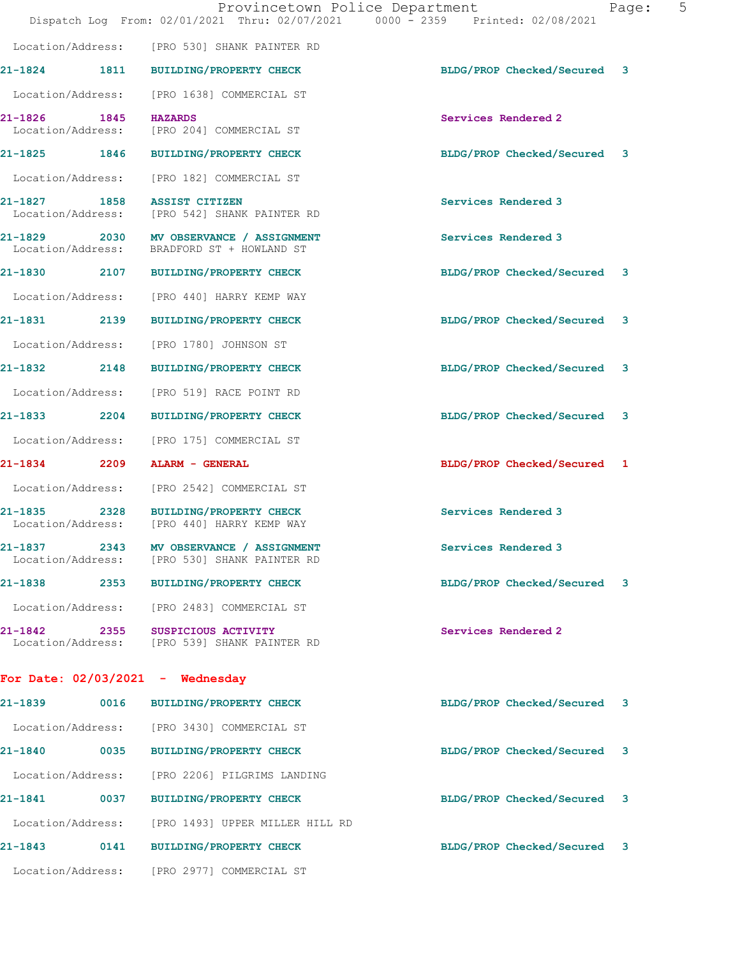|                                                  |      | Provincetown Police Department<br>Dispatch Log From: 02/01/2021 Thru: 02/07/2021 0000 - 2359 Printed: 02/08/2021 |                             | 5<br>Page: |
|--------------------------------------------------|------|------------------------------------------------------------------------------------------------------------------|-----------------------------|------------|
|                                                  |      | Location/Address: [PRO 530] SHANK PAINTER RD                                                                     |                             |            |
|                                                  |      | 21-1824 1811 BUILDING/PROPERTY CHECK                                                                             | BLDG/PROP Checked/Secured   | 3          |
|                                                  |      | Location/Address: [PRO 1638] COMMERCIAL ST                                                                       |                             |            |
| 21-1826 1845                                     |      | <b>HAZARDS</b><br>Location/Address: [PRO 204] COMMERCIAL ST                                                      | Services Rendered 2         |            |
|                                                  |      | 21-1825 1846 BUILDING/PROPERTY CHECK                                                                             | BLDG/PROP Checked/Secured 3 |            |
|                                                  |      | Location/Address: [PRO 182] COMMERCIAL ST                                                                        |                             |            |
| 21-1827 1858 ASSIST CITIZEN<br>Location/Address: |      | [PRO 542] SHANK PAINTER RD                                                                                       | Services Rendered 3         |            |
|                                                  |      | 21-1829 2030 MV OBSERVANCE / ASSIGNMENT<br>Location/Address: BRADFORD ST + HOWLAND ST                            | Services Rendered 3         |            |
|                                                  |      | 21-1830 2107 BUILDING/PROPERTY CHECK                                                                             | BLDG/PROP Checked/Secured 3 |            |
|                                                  |      | Location/Address: [PRO 440] HARRY KEMP WAY                                                                       |                             |            |
|                                                  |      | 21-1831 2139 BUILDING/PROPERTY CHECK                                                                             | BLDG/PROP Checked/Secured 3 |            |
| Location/Address:                                |      | [PRO 1780] JOHNSON ST                                                                                            |                             |            |
|                                                  |      | 21-1832 2148 BUILDING/PROPERTY CHECK                                                                             | BLDG/PROP Checked/Secured 3 |            |
| Location/Address:                                |      | [PRO 519] RACE POINT RD                                                                                          |                             |            |
|                                                  |      | 21-1833 2204 BUILDING/PROPERTY CHECK                                                                             | BLDG/PROP Checked/Secured 3 |            |
|                                                  |      | Location/Address: [PRO 175] COMMERCIAL ST                                                                        |                             |            |
|                                                  |      | 21-1834 2209 ALARM - GENERAL                                                                                     | BLDG/PROP Checked/Secured 1 |            |
|                                                  |      | Location/Address: [PRO 2542] COMMERCIAL ST                                                                       |                             |            |
| 21-1835                                          |      | 2328 BUILDING/PROPERTY CHECK<br>Location/Address: [PRO 440] HARRY KEMP WAY                                       | Services Rendered 3         |            |
| 21-1837                                          | 2343 | MV OBSERVANCE / ASSIGNMENT<br>Location/Address: [PRO 530] SHANK PAINTER RD                                       | Services Rendered 3         |            |
| 21-1838                                          | 2353 | <b>BUILDING/PROPERTY CHECK</b>                                                                                   | BLDG/PROP Checked/Secured 3 |            |
| Location/Address:                                |      | [PRO 2483] COMMERCIAL ST                                                                                         |                             |            |
| 21-1842                                          | 2355 | SUSPICIOUS ACTIVITY<br>Location/Address: [PRO 539] SHANK PAINTER RD                                              | Services Rendered 2         |            |
|                                                  |      | For Date: $02/03/2021$ - Wednesday                                                                               |                             |            |
| 21-1839                                          | 0016 | <b>BUILDING/PROPERTY CHECK</b>                                                                                   | BLDG/PROP Checked/Secured   | 3          |
| Location/Address:                                |      | [PRO 3430] COMMERCIAL ST                                                                                         |                             |            |
| 21-1840                                          |      | 0035 BUILDING/PROPERTY CHECK                                                                                     | BLDG/PROP Checked/Secured   | 3          |
| Location/Address:                                |      | [PRO 2206] PILGRIMS LANDING                                                                                      |                             |            |
| 21-1841                                          | 0037 | <b>BUILDING/PROPERTY CHECK</b>                                                                                   | BLDG/PROP Checked/Secured 3 |            |
|                                                  |      |                                                                                                                  |                             |            |

**21-1843 0141 BUILDING/PROPERTY CHECK BLDG/PROP Checked/Secured 3**

Location/Address: [PRO 2977] COMMERCIAL ST

Location/Address: [PRO 1493] UPPER MILLER HILL RD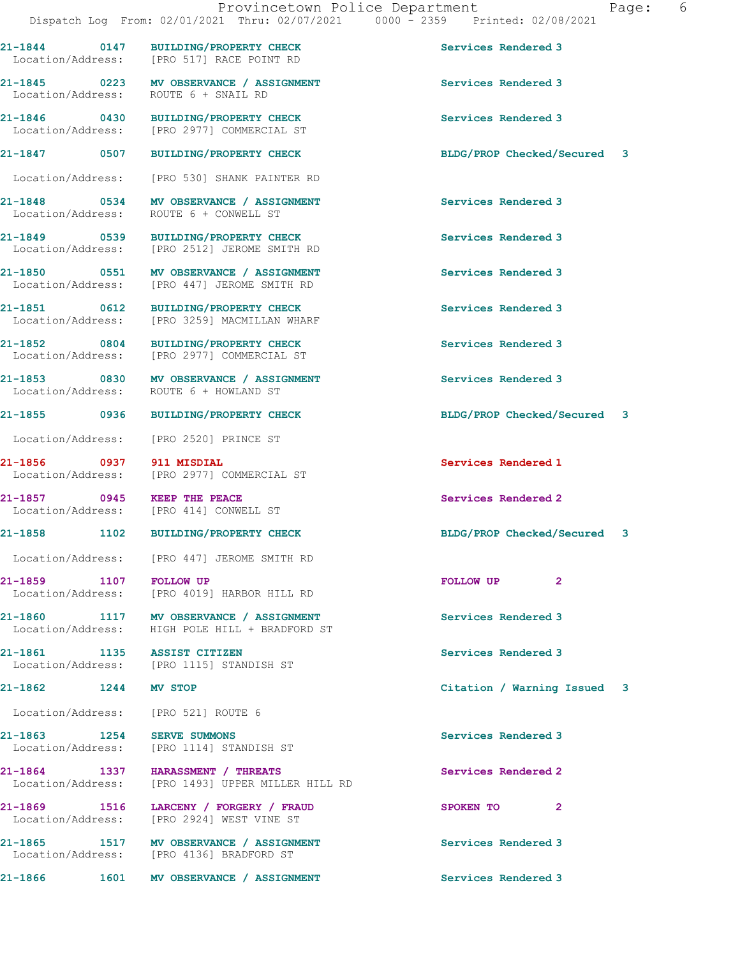**21-1844 0147 BUILDING/PROPERTY CHECK Services Rendered 3** 

**21-1845 0223 MV OBSERVANCE / ASSIGNMENT Services Rendered 3** 

**21-1856 0937 911 MISDIAL Services Rendered 1** 

Location/Address: [PRO 521] ROUTE 6

Location/Address: [PRO 517] RACE POINT RD

Location/Address: ROUTE 6 + SNAIL RD

**21-1846 0430 BUILDING/PROPERTY CHECK Services Rendered 3**  Location/Address: [PRO 2977] COMMERCIAL ST

Location/Address: [PRO 530] SHANK PAINTER RD

**21-1848 0534 MV OBSERVANCE / ASSIGNMENT Services Rendered 3**  Location/Address: ROUTE 6 + CONWELL ST

**21-1849 0539 BUILDING/PROPERTY CHECK Services Rendered 3**  Location/Address: [PRO 2512] JEROME SMITH RD

**21-1850 0551 MV OBSERVANCE / ASSIGNMENT Services Rendered 3**  Location/Address: [PRO 447] JEROME SMITH RD

**21-1851 0612 BUILDING/PROPERTY CHECK Services Rendered 3**  Location/Address: [PRO 3259] MACMILLAN WHARF

**21-1852** 0804 BUILDING/PROPERTY CHECK Services Rendered 3<br>
Location/Address: [PRO 2977] COMMERCIAL ST [PRO 2977] COMMERCIAL ST

**21-1853 0830 MV OBSERVANCE / ASSIGNMENT Services Rendered 3**  Location/Address: ROUTE 6 + HOWLAND ST

Location/Address: [PRO 2520] PRINCE ST

Location/Address: [PRO 2977] COMMERCIAL ST

**21-1857 0945 KEEP THE PEACE Services Rendered 2**  [PRO 414] CONWELL ST

Location/Address: [PRO 447] JEROME SMITH RD

**21-1859 1107 FOLLOW UP FOLLOW UP 2**  Location/Address: [PRO 4019] HARBOR HILL RD

**21-1860 1117 MV OBSERVANCE / ASSIGNMENT Services Rendered 3**  Location/Address: HIGH POLE HILL + BRADFORD ST

**21-1861 1135 ASSIST CITIZEN Services Rendered 3**  Location/Address: [PRO 1115] STANDISH ST

**21-1863 1254 SERVE SUMMONS Services Rendered 3**  Location/Address: [PRO 1114] STANDISH ST

**21-1864 1337 HARASSMENT / THREATS Services Rendered 2**  Location/Address: [PRO 1493] UPPER MILLER HILL RD

**21-1869 1516 LARCENY / FORGERY / FRAUD SPOKEN TO 2**  Location/Address: [PRO 2924] WEST VINE ST

**21-1865 1517 MV OBSERVANCE / ASSIGNMENT Services Rendered 3**  Location/Address: [PRO 4136] BRADFORD ST

21-1866 1601 MV OBSERVANCE / ASSIGNMENT **Services Rendered 3** 

**21-1847 0507 BUILDING/PROPERTY CHECK BLDG/PROP Checked/Secured 3**

**21-1855 0936 BUILDING/PROPERTY CHECK BLDG/PROP Checked/Secured 3**

**21-1858 1102 BUILDING/PROPERTY CHECK BLDG/PROP Checked/Secured 3**

**21-1862 1244 MV STOP Citation / Warning Issued 3**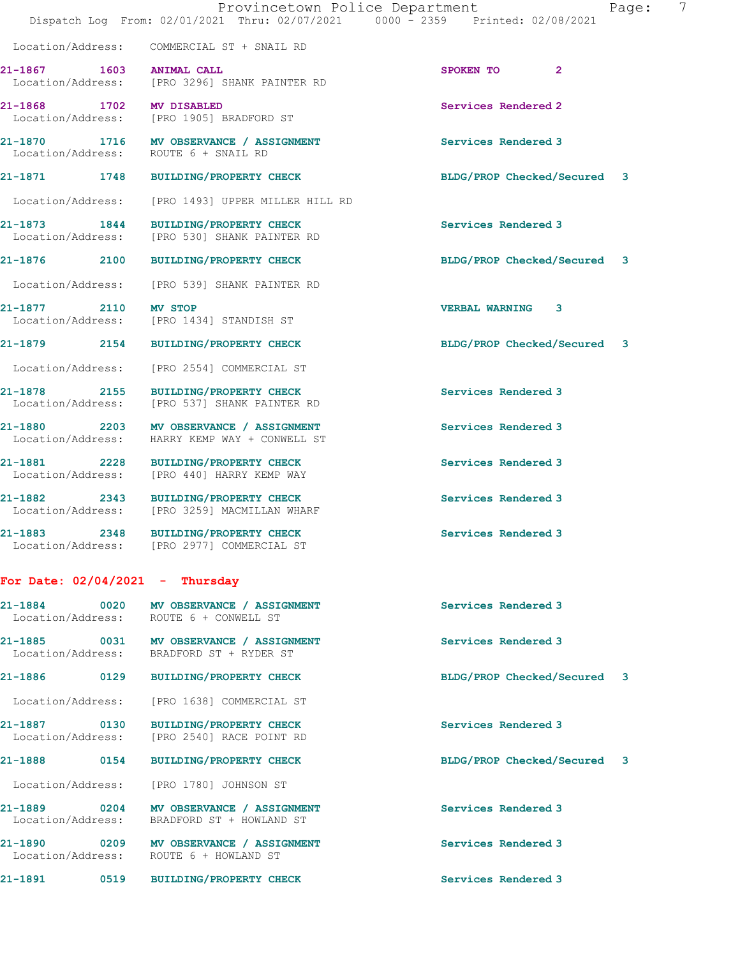|                                   | Dispatch Log From: 02/01/2021 Thru: 02/07/2021 0000 - 2359 Printed: 02/08/2021           | Provincetown Police Department | 7<br>Page: |
|-----------------------------------|------------------------------------------------------------------------------------------|--------------------------------|------------|
|                                   | Location/Address: COMMERCIAL ST + SNAIL RD                                               |                                |            |
| 21-1867 1603 ANIMAL CALL          | Location/Address: [PRO 3296] SHANK PAINTER RD                                            | SPOKEN TO 2                    |            |
| 21-1868 1702 MV DISABLED          | Location/Address: [PRO 1905] BRADFORD ST                                                 | Services Rendered 2            |            |
|                                   | 21-1870 1716 MV OBSERVANCE / ASSIGNMENT<br>Location/Address: ROUTE 6 + SNAIL RD          | Services Rendered 3            |            |
|                                   | 21-1871 1748 BUILDING/PROPERTY CHECK                                                     | BLDG/PROP Checked/Secured 3    |            |
|                                   | Location/Address: [PRO 1493] UPPER MILLER HILL RD                                        |                                |            |
|                                   | 21-1873 1844 BUILDING/PROPERTY CHECK<br>Location/Address: [PRO 530] SHANK PAINTER RD     | Services Rendered 3            |            |
|                                   | 21-1876 2100 BUILDING/PROPERTY CHECK                                                     | BLDG/PROP Checked/Secured 3    |            |
|                                   | Location/Address: [PRO 539] SHANK PAINTER RD                                             |                                |            |
| 21-1877 2110 MV STOP              | Location/Address: [PRO 1434] STANDISH ST                                                 | <b>VERBAL WARNING 3</b>        |            |
|                                   | 21-1879 2154 BUILDING/PROPERTY CHECK                                                     | BLDG/PROP Checked/Secured 3    |            |
|                                   | Location/Address: [PRO 2554] COMMERCIAL ST                                               |                                |            |
|                                   | 21-1878 2155 BUILDING/PROPERTY CHECK<br>Location/Address: [PRO 537] SHANK PAINTER RD     | Services Rendered 3            |            |
|                                   | 21-1880 2203 MV OBSERVANCE / ASSIGNMENT<br>Location/Address: HARRY KEMP WAY + CONWELL ST | Services Rendered 3            |            |
|                                   | 21-1881 2228 BUILDING/PROPERTY CHECK<br>Location/Address: [PRO 440] HARRY KEMP WAY       | Services Rendered 3            |            |
|                                   | 21-1882 2343 BUILDING/PROPERTY CHECK<br>Location/Address: [PRO 3259] MACMILLAN WHARF     | Services Rendered 3            |            |
|                                   | 21-1883 2348 BUILDING/PROPERTY CHECK<br>Location/Address: [PRO 2977] COMMERCIAL ST       | Services Rendered 3            |            |
| For Date: $02/04/2021$ - Thursday |                                                                                          |                                |            |
| Location/Address:                 | 21-1884 0020 MV OBSERVANCE / ASSIGNMENT<br>ROUTE 6 + CONWELL ST                          | Services Rendered 3            |            |
| 21-1885<br>Location/Address:      | 0031 MV OBSERVANCE / ASSIGNMENT<br>BRADFORD ST + RYDER ST                                | Services Rendered 3            |            |
| $21 - 1886$<br>0129               | <b>BUILDING/PROPERTY CHECK</b>                                                           | BLDG/PROP Checked/Secured      | 3          |
|                                   | Location/Address: [PRO 1638] COMMERCIAL ST                                               |                                |            |
| 21-1887<br>0130                   | <b>BUILDING/PROPERTY CHECK</b>                                                           | Services Rendered 3            |            |

**21-1888 0154 BUILDING/PROPERTY CHECK BLDG/PROP Checked/Secured 3**

21-1889 0204 MV OBSERVANCE / ASSIGNMENT Services Rendered 3

21-1890 0209 MV OBSERVANCE / ASSIGNMENT **Services Rendered 3** 

**21-1891 0519 BUILDING/PROPERTY CHECK Services Rendered 3** 

Location/Address: [PRO 2540] RACE POINT RD

Location/Address: [PRO 1780] JOHNSON ST

Location/Address: ROUTE 6 + HOWLAND ST

Location/Address: BRADFORD ST + HOWLAND ST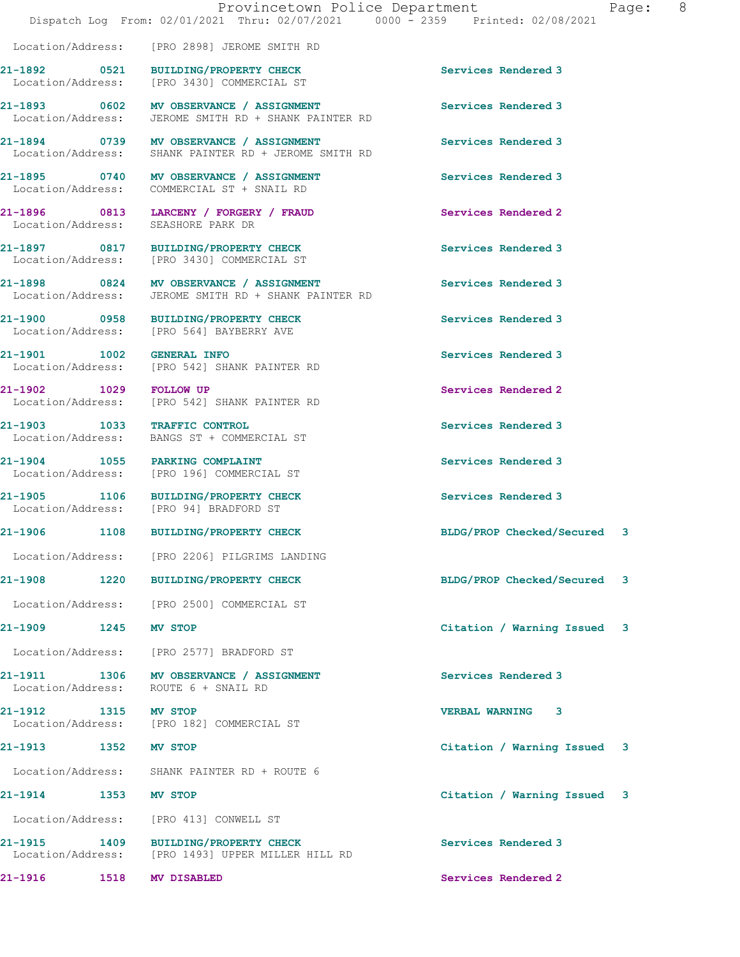|                                    | Provincetown Police Department<br>Dispatch Log From: 02/01/2021 Thru: 02/07/2021 0000 - 2359 Printed: 02/08/2021 |                             | 8 <sup>8</sup><br>Page: |
|------------------------------------|------------------------------------------------------------------------------------------------------------------|-----------------------------|-------------------------|
|                                    | Location/Address: [PRO 2898] JEROME SMITH RD                                                                     |                             |                         |
|                                    | 21-1892 0521 BUILDING/PROPERTY CHECK<br>Location/Address: [PRO 3430] COMMERCIAL ST                               | Services Rendered 3         |                         |
|                                    | 21-1893 0602 MV OBSERVANCE / ASSIGNMENT<br>Location/Address: JEROME SMITH RD + SHANK PAINTER RD                  | Services Rendered 3         |                         |
|                                    | 21-1894 0739 MV OBSERVANCE / ASSIGNMENT<br>Location/Address: SHANK PAINTER RD + JEROME SMITH RD                  | Services Rendered 3         |                         |
| Location/Address:                  | 21-1895 0740 MV OBSERVANCE / ASSIGNMENT<br>COMMERCIAL ST + SNAIL RD                                              | Services Rendered 3         |                         |
| Location/Address: SEASHORE PARK DR | 21-1896 0813 LARCENY / FORGERY / FRAUD                                                                           | Services Rendered 2         |                         |
|                                    | 21-1897 0817 BUILDING/PROPERTY CHECK<br>Location/Address: [PRO 3430] COMMERCIAL ST                               | Services Rendered 3         |                         |
| Location/Address:                  | 21-1898 0824 MV OBSERVANCE / ASSIGNMENT<br>JEROME SMITH RD + SHANK PAINTER RD                                    | Services Rendered 3         |                         |
|                                    | 21-1900 0958 BUILDING/PROPERTY CHECK<br>Location/Address: [PRO 564] BAYBERRY AVE                                 | Services Rendered 3         |                         |
| 21-1901 1002 GENERAL INFO          | Location/Address: [PRO 542] SHANK PAINTER RD                                                                     | Services Rendered 3         |                         |
|                                    | 21-1902 1029 FOLLOW UP<br>Location/Address: [PRO 542] SHANK PAINTER RD                                           | Services Rendered 2         |                         |
| 21-1903 1033 TRAFFIC CONTROL       | Location/Address: BANGS ST + COMMERCIAL ST                                                                       | Services Rendered 3         |                         |
|                                    | 21-1904 1055 PARKING COMPLAINT<br>Location/Address: [PRO 196] COMMERCIAL ST                                      | Services Rendered 3         |                         |
|                                    | 21-1905 1106 BUILDING/PROPERTY CHECK<br>Location/Address: [PRO 94] BRADFORD ST                                   | Services Rendered 3         |                         |
|                                    | 21-1906 1108 BUILDING/PROPERTY CHECK                                                                             | BLDG/PROP Checked/Secured 3 |                         |
|                                    | Location/Address: [PRO 2206] PILGRIMS LANDING                                                                    |                             |                         |
|                                    | 21-1908 1220 BUILDING/PROPERTY CHECK                                                                             | BLDG/PROP Checked/Secured 3 |                         |
|                                    | Location/Address: [PRO 2500] COMMERCIAL ST                                                                       |                             |                         |
| 21-1909 1245 MV STOP               |                                                                                                                  | Citation / Warning Issued 3 |                         |
|                                    | Location/Address: [PRO 2577] BRADFORD ST                                                                         |                             |                         |
|                                    | 21-1911 1306 MV OBSERVANCE / ASSIGNMENT<br>Location/Address: ROUTE 6 + SNAIL RD                                  | Services Rendered 3         |                         |
| 21-1912 1315 MV STOP               | Location/Address: [PRO 182] COMMERCIAL ST                                                                        | <b>VERBAL WARNING 3</b>     |                         |
| 21-1913 1352 MV STOP               |                                                                                                                  | Citation / Warning Issued 3 |                         |
|                                    | Location/Address: SHANK PAINTER RD + ROUTE 6                                                                     |                             |                         |
| 21-1914 1353 MV STOP               |                                                                                                                  | Citation / Warning Issued 3 |                         |
|                                    | Location/Address: [PRO 413] CONWELL ST                                                                           |                             |                         |
|                                    | 21-1915 1409 BUILDING/PROPERTY CHECK<br>Location/Address: [PRO 1493] UPPER MILLER HILL RD                        | Services Rendered 3         |                         |
| 21-1916<br>1518                    | MV DISABLED                                                                                                      | Services Rendered 2         |                         |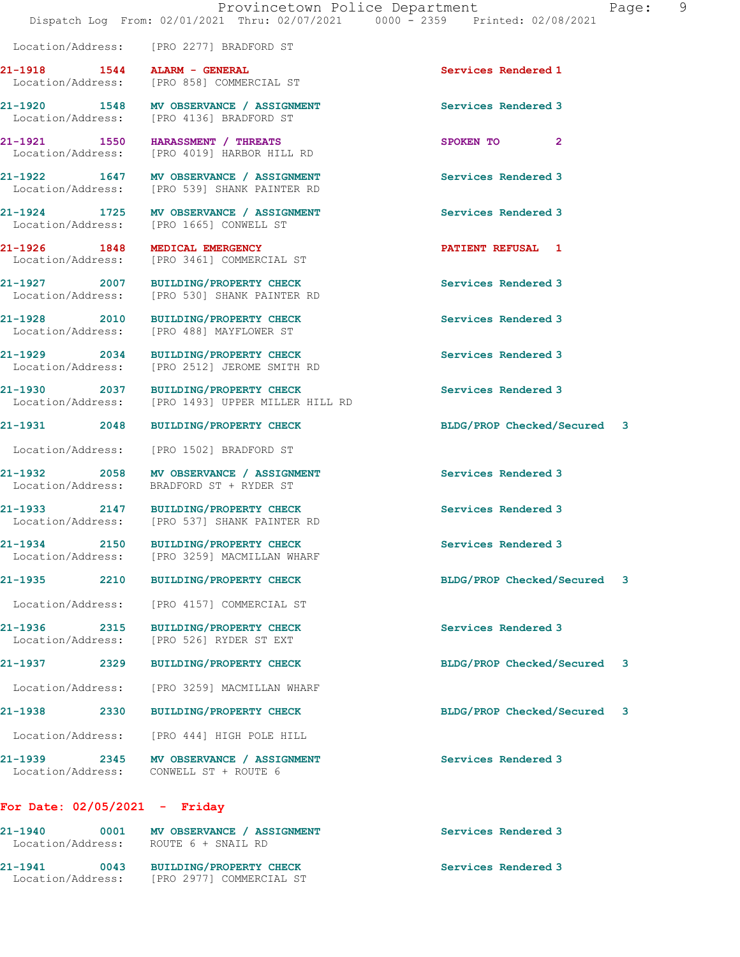**21-1918 1544 ALARM - GENERAL Services Rendered 1** 

Location/Address: [PRO 2277] BRADFORD ST

Location/Address: [PRO 858] COMMERCIAL ST

|                                      | 21-1920 1548 MV OBSERVANCE / ASSIGNMENT<br>Location/Address: [PRO 4136] BRADFORD ST       | Services Rendered 3         |    |
|--------------------------------------|-------------------------------------------------------------------------------------------|-----------------------------|----|
|                                      | 21-1921 1550 HARASSMENT / THREATS<br>Location/Address: [PRO 4019] HARBOR HILL RD          | SPOKEN TO<br>$\mathbf{2}$   |    |
|                                      | 21-1922 1647 MV OBSERVANCE / ASSIGNMENT<br>Location/Address: [PRO 539] SHANK PAINTER RD   | Services Rendered 3         |    |
|                                      | 21-1924 1725 MV OBSERVANCE / ASSIGNMENT<br>Location/Address: [PRO 1665] CONWELL ST        | Services Rendered 3         |    |
| 21-1926 1848                         | MEDICAL EMERGENCY<br>Location/Address: [PRO 3461] COMMERCIAL ST                           | <b>PATIENT REFUSAL 1</b>    |    |
|                                      | 21-1927 2007 BUILDING/PROPERTY CHECK<br>Location/Address: [PRO 530] SHANK PAINTER RD      | Services Rendered 3         |    |
| 21-1928 2010                         | <b>BUILDING/PROPERTY CHECK</b><br>Location/Address: [PRO 488] MAYFLOWER ST                | Services Rendered 3         |    |
|                                      | 21-1929 2034 BUILDING/PROPERTY CHECK<br>Location/Address: [PRO 2512] JEROME SMITH RD      | Services Rendered 3         |    |
|                                      | 21-1930 2037 BUILDING/PROPERTY CHECK<br>Location/Address: [PRO 1493] UPPER MILLER HILL RD | Services Rendered 3         |    |
| 21-1931 2048                         | <b>BUILDING/PROPERTY CHECK</b>                                                            | BLDG/PROP Checked/Secured 3 |    |
|                                      | Location/Address: [PRO 1502] BRADFORD ST                                                  |                             |    |
|                                      | 21-1932 2058 MV OBSERVANCE / ASSIGNMENT<br>Location/Address: BRADFORD ST + RYDER ST       | Services Rendered 3         |    |
|                                      | 21-1933 2147 BUILDING/PROPERTY CHECK<br>Location/Address: [PRO 537] SHANK PAINTER RD      | Services Rendered 3         |    |
|                                      | 21-1934 2150 BUILDING/PROPERTY CHECK<br>Location/Address: [PRO 3259] MACMILLAN WHARF      | Services Rendered 3         |    |
| 21-1935 2210                         | BUILDING/PROPERTY CHECK                                                                   | BLDG/PROP Checked/Secured 3 |    |
|                                      | Location/Address: [PRO 4157] COMMERCIAL ST                                                |                             |    |
| 2315<br>21-1936<br>Location/Address: | <b>BUILDING/PROPERTY CHECK</b><br>[PRO 526] RYDER ST EXT                                  | Services Rendered 3         |    |
| 21-1937<br>2329                      | <b>BUILDING/PROPERTY CHECK</b>                                                            | BLDG/PROP Checked/Secured   | -3 |
| Location/Address:                    | [PRO 3259] MACMILLAN WHARF                                                                |                             |    |
| 21-1938<br>2330                      | <b>BUILDING/PROPERTY CHECK</b>                                                            | BLDG/PROP Checked/Secured   | -3 |
| Location/Address:                    | [PRO 444] HIGH POLE HILL                                                                  |                             |    |
| 21-1939<br>2345<br>Location/Address: | MV OBSERVANCE / ASSIGNMENT<br>CONWELL ST + ROUTE 6                                        | Services Rendered 3         |    |

## **For Date: 02/05/2021 - Friday**

| $21 - 1940$<br>Location/Address: | 0001 | MV OBSERVANCE / ASSIGNMENT<br>ROUTE 6 + SNAIL RD           | Services Rendered 3 |
|----------------------------------|------|------------------------------------------------------------|---------------------|
| 21-1941<br>Location/Address:     | 0043 | <b>BUILDING/PROPERTY CHECK</b><br>[PRO 2977] COMMERCIAL ST | Services Rendered 3 |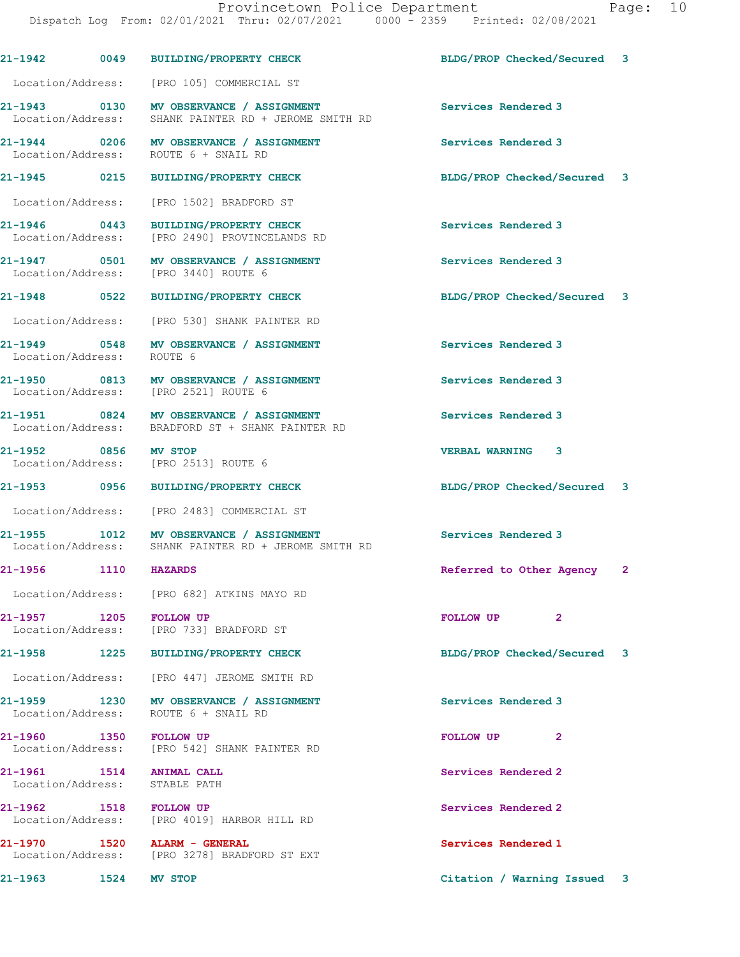|                                                               |      | 21-1942 0049 BUILDING/PROPERTY CHECK                                                            | BLDG/PROP Checked/Secured 3        |   |
|---------------------------------------------------------------|------|-------------------------------------------------------------------------------------------------|------------------------------------|---|
|                                                               |      | Location/Address: [PRO 105] COMMERCIAL ST                                                       |                                    |   |
|                                                               |      | 21-1943 0130 MV OBSERVANCE / ASSIGNMENT<br>Location/Address: SHANK PAINTER RD + JEROME SMITH RD | Services Rendered 3                |   |
|                                                               |      | 21-1944 0206 MV OBSERVANCE / ASSIGNMENT<br>Location/Address: ROUTE 6 + SNAIL RD                 | Services Rendered 3                |   |
|                                                               |      | 21-1945 0215 BUILDING/PROPERTY CHECK                                                            | BLDG/PROP Checked/Secured 3        |   |
| Location/Address:                                             |      | [PRO 1502] BRADFORD ST                                                                          |                                    |   |
|                                                               |      | 21-1946 0443 BUILDING/PROPERTY CHECK<br>Location/Address: [PRO 2490] PROVINCELANDS RD           | Services Rendered 3                |   |
|                                                               |      | 21-1947 0501 MV OBSERVANCE / ASSIGNMENT<br>Location/Address: [PRO 3440] ROUTE 6                 | Services Rendered 3                |   |
|                                                               |      | 21-1948 0522 BUILDING/PROPERTY CHECK                                                            | BLDG/PROP Checked/Secured 3        |   |
|                                                               |      | Location/Address: [PRO 530] SHANK PAINTER RD                                                    |                                    |   |
| Location/Address: ROUTE 6                                     |      | 21-1949 0548 MV OBSERVANCE / ASSIGNMENT                                                         | Services Rendered 3                |   |
|                                                               |      | 21-1950 0813 MV OBSERVANCE / ASSIGNMENT<br>Location/Address: [PRO 2521] ROUTE 6                 | Services Rendered 3                |   |
|                                                               |      | 21-1951 0824 MV OBSERVANCE / ASSIGNMENT<br>Location/Address: BRADFORD ST + SHANK PAINTER RD     | Services Rendered 3                |   |
| 21-1952 0856 MV STOP                                          |      | Location/Address: [PRO 2513] ROUTE 6                                                            | VERBAL WARNING 3                   |   |
|                                                               |      | 21-1953 0956 BUILDING/PROPERTY CHECK                                                            | BLDG/PROP Checked/Secured 3        |   |
|                                                               |      | Location/Address: [PRO 2483] COMMERCIAL ST                                                      |                                    |   |
|                                                               |      | 21-1955 1012 MV OBSERVANCE / ASSIGNMENT<br>Location/Address: SHANK PAINTER RD + JEROME SMITH RD | Services Rendered 3                |   |
| 21-1956 1110 HAZARDS                                          |      |                                                                                                 | Referred to Other Agency 2         |   |
|                                                               |      | Location/Address: [PRO 682] ATKINS MAYO RD                                                      |                                    |   |
| 21-1957 1205 FOLLOW UP                                        |      | Location/Address: [PRO 733] BRADFORD ST                                                         | FOLLOW UP<br>$\overline{2}$        |   |
|                                                               |      | 21-1958 1225 BUILDING/PROPERTY CHECK                                                            | BLDG/PROP Checked/Secured          | 3 |
|                                                               |      | Location/Address: [PRO 447] JEROME SMITH RD                                                     |                                    |   |
|                                                               |      | Location/Address: ROUTE 6 + SNAIL RD                                                            | Services Rendered 3                |   |
| 21-1960 1350 FOLLOW UP                                        |      | Location/Address: [PRO 542] SHANK PAINTER RD                                                    | <b>FOLLOW UP</b><br>$\overline{2}$ |   |
| 21-1961   1514   ANIMAL CALL<br>Location/Address: STABLE PATH |      |                                                                                                 | Services Rendered 2                |   |
| 21-1962 1518 FOLLOW UP                                        |      | Location/Address: [PRO 4019] HARBOR HILL RD                                                     | Services Rendered 2                |   |
|                                                               |      | Location/Address: [PRO 3278] BRADFORD ST EXT                                                    | Services Rendered 1                |   |
| 21–1963 – 1980)                                               | 1524 | <b>MV STOP</b>                                                                                  | Citation / Warning Issued          | 3 |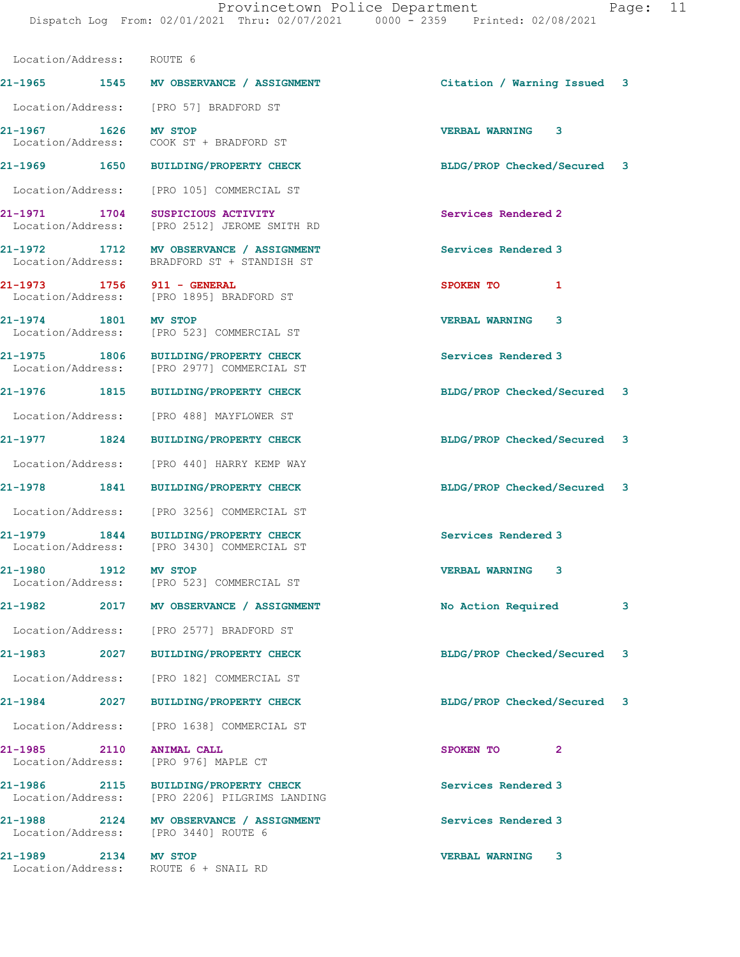Location/Address: ROUTE 6

|                              |      | 21-1965 1545 MV OBSERVANCE / ASSIGNMENT                                                | Citation / Warning Issued 3 |                |   |
|------------------------------|------|----------------------------------------------------------------------------------------|-----------------------------|----------------|---|
|                              |      | Location/Address: [PRO 57] BRADFORD ST                                                 |                             |                |   |
| 21-1967 1626 MV STOP         |      |                                                                                        | VERBAL WARNING 3            |                |   |
|                              |      | 21-1969  1650 BUILDING/PROPERTY CHECK                                                  | BLDG/PROP Checked/Secured 3 |                |   |
|                              |      | Location/Address: [PRO 105] COMMERCIAL ST                                              |                             |                |   |
|                              |      | 21-1971 1704 SUSPICIOUS ACTIVITY<br>Location/Address: [PRO 2512] JEROME SMITH RD       | Services Rendered 2         |                |   |
|                              |      | 21-1972 1712 MV OBSERVANCE / ASSIGNMENT<br>Location/Address: BRADFORD ST + STANDISH ST | Services Rendered 3         |                |   |
|                              |      | 21-1973 1756 911 - GENERAL<br>Location/Address: [PRO 1895] BRADFORD ST                 | SPOKEN TO                   | $\mathbf{1}$   |   |
| 21-1974 1801 MV STOP         |      | Location/Address: [PRO 523] COMMERCIAL ST                                              | <b>VERBAL WARNING 3</b>     |                |   |
|                              |      | 21-1975 1806 BUILDING/PROPERTY CHECK<br>Location/Address: [PRO 2977] COMMERCIAL ST     | Services Rendered 3         |                |   |
|                              |      | 21-1976 1815 BUILDING/PROPERTY CHECK                                                   | BLDG/PROP Checked/Secured 3 |                |   |
|                              |      | Location/Address: [PRO 488] MAYFLOWER ST                                               |                             |                |   |
|                              |      | 21-1977 1824 BUILDING/PROPERTY CHECK                                                   | BLDG/PROP Checked/Secured 3 |                |   |
|                              |      | Location/Address: [PRO 440] HARRY KEMP WAY                                             |                             |                |   |
|                              |      | 21-1978 1841 BUILDING/PROPERTY CHECK                                                   | BLDG/PROP Checked/Secured 3 |                |   |
|                              |      | Location/Address: [PRO 3256] COMMERCIAL ST                                             |                             |                |   |
|                              |      | 21-1979 1844 BUILDING/PROPERTY CHECK<br>Location/Address: [PRO 3430] COMMERCIAL ST     | Services Rendered 3         |                |   |
|                              |      | 21-1980 1912 MV STOP<br>Location/Address: [PRO 523] COMMERCIAL ST                      | VERBAL WARNING 3            |                |   |
|                              |      | 21-1982 2017 MV OBSERVANCE / ASSIGNMENT                                                | No Action Required          |                | 3 |
|                              |      | Location/Address: [PRO 2577] BRADFORD ST                                               |                             |                |   |
| 21-1983 – 1983 – 1984)       | 2027 | <b>BUILDING/PROPERTY CHECK</b>                                                         | BLDG/PROP Checked/Secured   |                | 3 |
|                              |      | Location/Address: [PRO 182] COMMERCIAL ST                                              |                             |                |   |
| 21-1984 2027                 |      | BUILDING/PROPERTY CHECK                                                                | BLDG/PROP Checked/Secured   |                | 3 |
| Location/Address:            |      | [PRO 1638] COMMERCIAL ST                                                               |                             |                |   |
| 21-1985<br>Location/Address: | 2110 | ANIMAL CALL<br>[PRO 976] MAPLE CT                                                      | SPOKEN TO                   | $\overline{2}$ |   |
| Location/Address:            |      | 21-1986 2115 BUILDING/PROPERTY CHECK<br>[PRO 2206] PILGRIMS LANDING                    | Services Rendered 3         |                |   |
| 21-1988                      |      | 2124 MV OBSERVANCE / ASSIGNMENT<br>Location/Address: [PRO 3440] ROUTE 6                | Services Rendered 3         |                |   |
| 21-1989 2134                 |      | MV STOP<br>Location/Address: ROUTE 6 + SNAIL RD                                        | <b>VERBAL WARNING</b>       | 3              |   |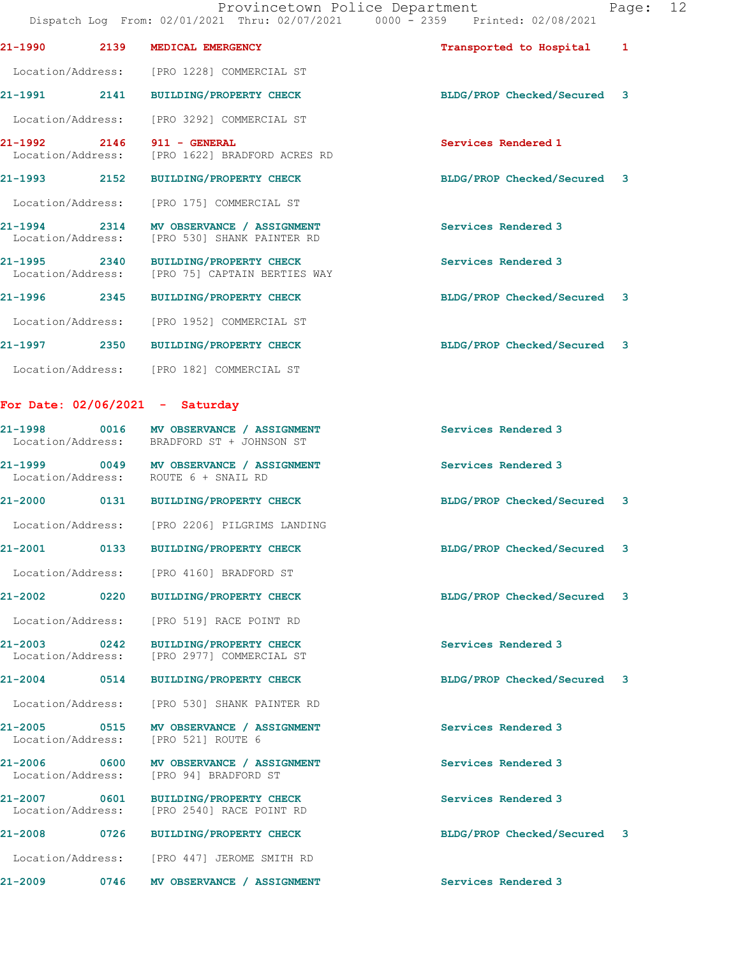|                                                   |                                                                                         | Dispatch Log From: 02/01/2021 Thru: 02/07/2021 0000 - 2359 Printed: 02/08/2021 |                         |
|---------------------------------------------------|-----------------------------------------------------------------------------------------|--------------------------------------------------------------------------------|-------------------------|
| 21-1990<br>2139                                   | MEDICAL EMERGENCY                                                                       | Transported to Hospital                                                        | 1                       |
|                                                   | Location/Address: [PRO 1228] COMMERCIAL ST                                              |                                                                                |                         |
|                                                   | 21-1991 2141 BUILDING/PROPERTY CHECK                                                    | BLDG/PROP Checked/Secured 3                                                    |                         |
| Location/Address:                                 | [PRO 3292] COMMERCIAL ST                                                                |                                                                                |                         |
| 21-1992<br>2146<br>Location/Address:              | 911 - GENERAL<br>[PRO 1622] BRADFORD ACRES RD                                           | Services Rendered 1                                                            |                         |
| 21-1993 2152                                      | <b>BUILDING/PROPERTY CHECK</b>                                                          | BLDG/PROP Checked/Secured 3                                                    |                         |
|                                                   | Location/Address: [PRO 175] COMMERCIAL ST                                               |                                                                                |                         |
|                                                   | 21-1994 2314 MV OBSERVANCE / ASSIGNMENT<br>Location/Address: [PRO 530] SHANK PAINTER RD | Services Rendered 3                                                            |                         |
| 21-1995 2340                                      | BUILDING/PROPERTY CHECK<br>Location/Address: [PRO 75] CAPTAIN BERTIES WAY               | Services Rendered 3                                                            |                         |
| 21–1996 2345                                      | <b>BUILDING/PROPERTY CHECK</b>                                                          | BLDG/PROP Checked/Secured 3                                                    |                         |
| Location/Address:                                 | [PRO 1952] COMMERCIAL ST                                                                |                                                                                |                         |
| 21-1997<br>2350                                   | <b>BUILDING/PROPERTY CHECK</b>                                                          | BLDG/PROP Checked/Secured 3                                                    |                         |
|                                                   | Location/Address: [PRO 182] COMMERCIAL ST                                               |                                                                                |                         |
| For Date: $02/06/2021 -$ Saturday                 |                                                                                         |                                                                                |                         |
| 21-1998                                           | 0016 MV OBSERVANCE / ASSIGNMENT<br>Location/Address: BRADFORD ST + JOHNSON ST           | Services Rendered 3                                                            |                         |
|                                                   | 21-1999 0049 MV OBSERVANCE / ASSIGNMENT<br>Location/Address: ROUTE 6 + SNAIL RD         | Services Rendered 3                                                            |                         |
|                                                   | 21-2000 0131 BUILDING/PROPERTY CHECK                                                    | BLDG/PROP Checked/Secured 3                                                    |                         |
|                                                   | Location/Address: [PRO 2206] PILGRIMS LANDING                                           |                                                                                |                         |
| 21-2001<br>0133                                   | <b>BUILDING/PROPERTY CHECK</b>                                                          | BLDG/PROP Checked/Secured 3                                                    |                         |
|                                                   | Location/Address: [PRO 4160] BRADFORD ST                                                |                                                                                |                         |
| 21-2002 2011<br>0220                              | <b>BUILDING/PROPERTY CHECK</b>                                                          | BLDG/PROP Checked/Secured                                                      | $\overline{\mathbf{3}}$ |
| Location/Address:                                 | [PRO 519] RACE POINT RD                                                                 |                                                                                |                         |
| $\overline{0242}$<br>21-2003<br>Location/Address: | <b>BUILDING/PROPERTY CHECK</b><br>[PRO 2977] COMMERCIAL ST                              | Services Rendered 3                                                            |                         |
| 21-2004<br>0514                                   | <b>BUILDING/PROPERTY CHECK</b>                                                          | BLDG/PROP Checked/Secured                                                      | 3                       |
| Location/Address:                                 | [PRO 530] SHANK PAINTER RD                                                              |                                                                                |                         |
| 21-2005<br>0515<br>Location/Address:              | MV OBSERVANCE / ASSIGNMENT<br>[PRO 521] ROUTE 6                                         | Services Rendered 3                                                            |                         |
| 21-2006<br>$\sim$ 0600<br>Location/Address:       | MV OBSERVANCE / ASSIGNMENT<br>[PRO 94] BRADFORD ST                                      | Services Rendered 3                                                            |                         |
| 21-2007 0601<br>Location/Address:                 | <b>BUILDING/PROPERTY CHECK</b><br>[PRO 2540] RACE POINT RD                              | Services Rendered 3                                                            |                         |
| 21-2008<br>0726                                   | <b>BUILDING/PROPERTY CHECK</b>                                                          | BLDG/PROP Checked/Secured 3                                                    |                         |
| Location/Address:                                 | [PRO 447] JEROME SMITH RD                                                               |                                                                                |                         |
| 21-2009<br>0746                                   | MV OBSERVANCE / ASSIGNMENT                                                              | Services Rendered 3                                                            |                         |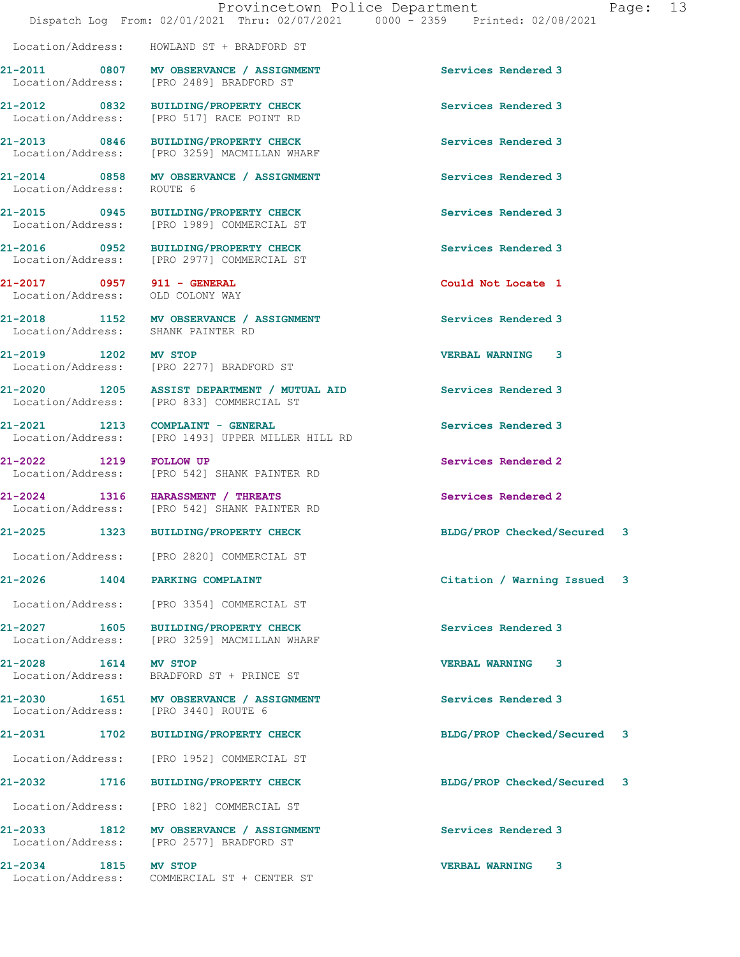Location/Address: HOWLAND ST + BRADFORD ST

**21-2011 0807 MV OBSERVANCE / ASSIGNMENT Services Rendered 3**  Location/Address: [PRO 2489] BRADFORD ST **21-2012 0832 BUILDING/PROPERTY CHECK Services Rendered 3**  Location/Address: [PRO 517] RACE POINT RD **21-2013 0846 BUILDING/PROPERTY CHECK Services Rendered 3**  Location/Address: [PRO 3259] MACMILLAN WHARF **21-2014 0858 MV OBSERVANCE / ASSIGNMENT Services Rendered 3**  Location/Address: ROUTE 6 **21-2015 0945 BUILDING/PROPERTY CHECK Services Rendered 3**  Location/Address: [PRO 1989] COMMERCIAL ST **21-2016 0952 BUILDING/PROPERTY CHECK Services Rendered 3**  Location/Address: [PRO 2977] COMMERCIAL ST **21-2017 0957 911 - GENERAL Could Not Locate 1**  Location/Address: OLD COLONY WAY 21-2018 1152 MV OBSERVANCE / ASSIGNMENT **Services Rendered 3 Internal Services** Rendered 3 Location/Address: **21-2019 1202 MV STOP VERBAL WARNING 3**  [PRO 2277] BRADFORD ST **21-2020 1205 ASSIST DEPARTMENT / MUTUAL AID Services Rendered 3**  Location/Address: [PRO 833] COMMERCIAL ST **21-2021 1213 COMPLAINT - GENERAL Services Rendered 3**  Location/Address: [PRO 1493] UPPER MILLER HILL RD 21-2022 1219 FOLLOW UP **Services Rendered 2**<br>
Location/Address: [PRO 542] SHANK PAINTER RD [PRO 542] SHANK PAINTER RD **21-2024 1316 HARASSMENT / THREATS Services Rendered 2 Integral Conducts Services Rendered 2** [PRO 542] SHANK PAINTER RD **21-2025 1323 BUILDING/PROPERTY CHECK BLDG/PROP Checked/Secured 3** Location/Address: [PRO 2820] COMMERCIAL ST **21-2026 1404 PARKING COMPLAINT Citation / Warning Issued 3** Location/Address: [PRO 3354] COMMERCIAL ST **21-2027 1605 BUILDING/PROPERTY CHECK Services Rendered 3**  Location/Address: [PRO 3259] MACMILLAN WHARF **21-2028 1614 MV STOP VERBAL WARNING 3**  BRADFORD ST + PRINCE ST 21-2030 1651 MV OBSERVANCE / ASSIGNMENT **Services Rendered 3 1651** MV OBSERVANCE / ASSIGNMENT Location/Address: **21-2031 1702 BUILDING/PROPERTY CHECK BLDG/PROP Checked/Secured 3** Location/Address: [PRO 1952] COMMERCIAL ST **21-2032 1716 BUILDING/PROPERTY CHECK BLDG/PROP Checked/Secured 3** Location/Address: [PRO 182] COMMERCIAL ST 21-2033 1812 MV OBSERVANCE / ASSIGNMENT **Services Rendered 3 1812** MV OBSERVANCE / ASSIGNMENT [PRO 2577] BRADFORD ST **21-2034 1815 MV STOP VERBAL WARNING 3**  Location/Address: COMMERCIAL ST + CENTER ST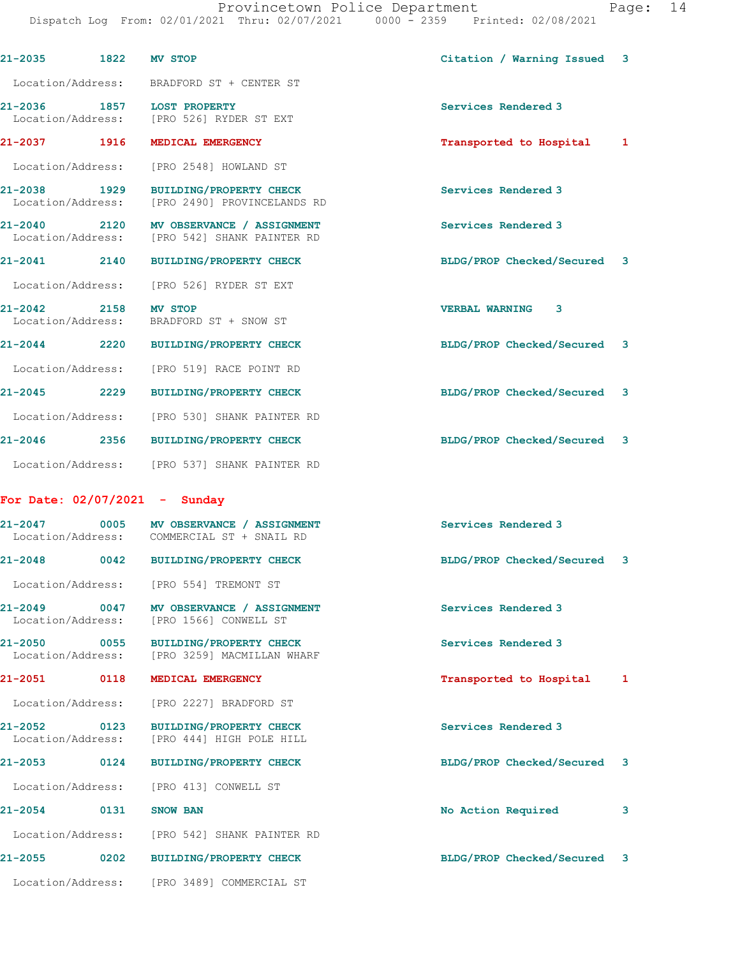Provincetown Police Department Fage: 14 Dispatch Log From: 02/01/2021 Thru: 02/07/2021 0000 - 2359 Printed: 02/08/2021

| 21-2035 1822 MV STOP             |      |                                                                                         | Citation / Warning Issued 3 |   |
|----------------------------------|------|-----------------------------------------------------------------------------------------|-----------------------------|---|
|                                  |      | Location/Address: BRADFORD ST + CENTER ST                                               |                             |   |
|                                  |      | 21-2036 1857 LOST PROPERTY<br>Location/Address: [PRO 526] RYDER ST EXT                  | Services Rendered 3         |   |
|                                  |      | 21-2037 1916 MEDICAL EMERGENCY                                                          | Transported to Hospital     | 1 |
|                                  |      | Location/Address: [PRO 2548] HOWLAND ST                                                 |                             |   |
| 21-2038 1929                     |      | <b>BUILDING/PROPERTY CHECK</b><br>Location/Address: [PRO 2490] PROVINCELANDS RD         | Services Rendered 3         |   |
|                                  |      | 21-2040 2120 MV OBSERVANCE / ASSIGNMENT<br>Location/Address: [PRO 542] SHANK PAINTER RD | Services Rendered 3         |   |
|                                  |      | 21-2041 2140 BUILDING/PROPERTY CHECK                                                    | BLDG/PROP Checked/Secured 3 |   |
|                                  |      | Location/Address: [PRO 526] RYDER ST EXT                                                |                             |   |
| 21-2042 2158 MV STOP             |      | Location/Address: BRADFORD ST + SNOW ST                                                 | <b>VERBAL WARNING 3</b>     |   |
|                                  |      | 21-2044 2220 BUILDING/PROPERTY CHECK                                                    | BLDG/PROP Checked/Secured 3 |   |
|                                  |      | Location/Address: [PRO 519] RACE POINT RD                                               |                             |   |
|                                  |      | 21-2045 2229 BUILDING/PROPERTY CHECK                                                    | BLDG/PROP Checked/Secured 3 |   |
|                                  |      | Location/Address: [PRO 530] SHANK PAINTER RD                                            |                             |   |
|                                  |      | 21-2046 2356 BUILDING/PROPERTY CHECK                                                    | BLDG/PROP Checked/Secured 3 |   |
|                                  |      | Location/Address: [PRO 537] SHANK PAINTER RD                                            |                             |   |
| For Date: $02/07/2021 -$ Sunday  |      |                                                                                         |                             |   |
|                                  |      | 21-2047 0005 MV OBSERVANCE / ASSIGNMENT<br>Location/Address: COMMERCIAL ST + SNAIL RD   | Services Rendered 3         |   |
| 21-2048                          |      | 0042 BUILDING/PROPERTY CHECK                                                            | BLDG/PROP Checked/Secured 3 |   |
|                                  |      | Location/Address: [PRO 554] TREMONT ST                                                  |                             |   |
| $21 - 2049$<br>Location/Address: |      | 0047 MV OBSERVANCE / ASSIGNMENT<br>[PRO 1566] CONWELL ST                                | Services Rendered 3         |   |
| 21-2050<br>Location/Address:     | 0055 | <b>BUILDING/PROPERTY CHECK</b><br>[PRO 3259] MACMILLAN WHARF                            | Services Rendered 3         |   |
| 21-2051                          | 0118 | MEDICAL EMERGENCY                                                                       | Transported to Hospital     | 1 |
|                                  |      | Location/Address: [PRO 2227] BRADFORD ST                                                |                             |   |
| 21-2052<br>Location/Address:     | 0123 | <b>BUILDING/PROPERTY CHECK</b><br>[PRO 444] HIGH POLE HILL                              | Services Rendered 3         |   |
| 21-2053                          | 0124 | <b>BUILDING/PROPERTY CHECK</b>                                                          | BLDG/PROP Checked/Secured 3 |   |
| Location/Address:                |      | [PRO 413] CONWELL ST                                                                    |                             |   |
| 21-2054                          | 0131 | <b>SNOW BAN</b>                                                                         | No Action Required          | 3 |
|                                  |      | Location/Address: [PRO 542] SHANK PAINTER RD                                            |                             |   |
| 21-2055 0202                     |      | <b>BUILDING/PROPERTY CHECK</b>                                                          | BLDG/PROP Checked/Secured 3 |   |
|                                  |      | Location/Address: [PRO 3489] COMMERCIAL ST                                              |                             |   |
|                                  |      |                                                                                         |                             |   |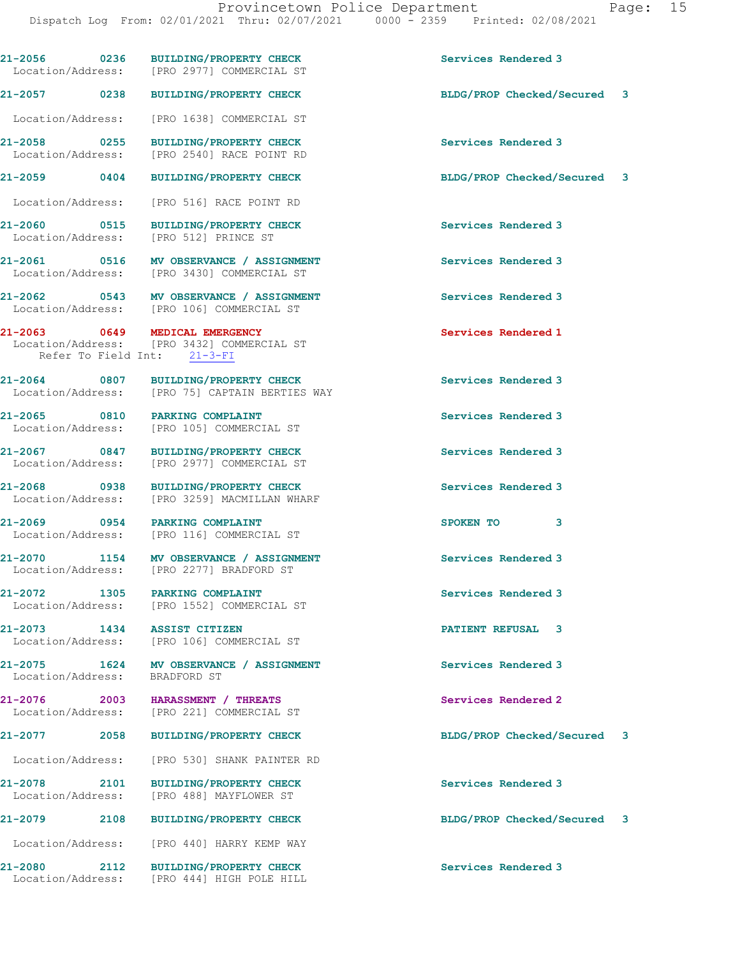**21-2056 0236 BUILDING/PROPERTY CHECK Services Rendered 3** 

Location/Address: [PRO 2977] COMMERCIAL ST

**21-2057 0238 BUILDING/PROPERTY CHECK BLDG/PROP Checked/Secured 3** Location/Address: [PRO 1638] COMMERCIAL ST **21-2058 0255 BUILDING/PROPERTY CHECK Services Rendered 3**  Location/Address: [PRO 2540] RACE POINT RD **21-2059 0404 BUILDING/PROPERTY CHECK BLDG/PROP Checked/Secured 3** Location/Address: [PRO 516] RACE POINT RD **21-2060 0515 BUILDING/PROPERTY CHECK Services Rendered 3**  Location/Address: [PRO 512] PRINCE ST **21-2061 0516 MV OBSERVANCE / ASSIGNMENT Services Rendered 3**  Location/Address: [PRO 3430] COMMERCIAL ST **21-2062 0543 MV OBSERVANCE / ASSIGNMENT Services Rendered 3**  Location/Address: [PRO 106] COMMERCIAL ST **21-2063 0649 MEDICAL EMERGENCY Services Rendered 1**  Location/Address: [PRO 3432] COMMERCIAL ST Refer To Field Int: 21-3-FI **21-2064 0807 BUILDING/PROPERTY CHECK Services Rendered 3**  Location/Address: [PRO 75] CAPTAIN BERTIES WAY **21-2065 0810 PARKING COMPLAINT Services Rendered 3**  Location/Address: [PRO 105] COMMERCIAL ST **21-2067 0847 BUILDING/PROPERTY CHECK Services Rendered 3**  [PRO 2977] COMMERCIAL ST **21-2068 0938 BUILDING/PROPERTY CHECK Services Rendered 3**  [PRO 3259] MACMILLAN WHARF **21-2069 0954 PARKING COMPLAINT SPOKEN TO 3**  Location/Address: [PRO 116] COMMERCIAL ST **21-2070 1154 MV OBSERVANCE / ASSIGNMENT Services Rendered 3**  Location/Address: [PRO 2277] BRADFORD ST **21-2072 1305 PARKING COMPLAINT Services Rendered 3**  Location/Address: [PRO 1552] COMMERCIAL ST **21-2073 1434 ASSIST CITIZEN PATIENT REFUSAL 3**  [PRO 106] COMMERCIAL ST **21-2075 1624 MV OBSERVANCE / ASSIGNMENT Services Rendered 3**<br>
Location/Address: BRADFORD ST Location/Address: **21-2076 2003 HARASSMENT / THREATS Services Rendered 2**  Location/Address: [PRO 221] COMMERCIAL ST **21-2077 2058 BUILDING/PROPERTY CHECK BLDG/PROP Checked/Secured 3** Location/Address: [PRO 530] SHANK PAINTER RD **21-2078 2101 BUILDING/PROPERTY CHECK Services Rendered 3**  Location/Address: [PRO 488] MAYFLOWER ST **21-2079 2108 BUILDING/PROPERTY CHECK BLDG/PROP Checked/Secured 3** Location/Address: [PRO 440] HARRY KEMP WAY **21-2080 2112 BUILDING/PROPERTY CHECK Services Rendered 3**  Location/Address: [PRO 444] HIGH POLE HILL